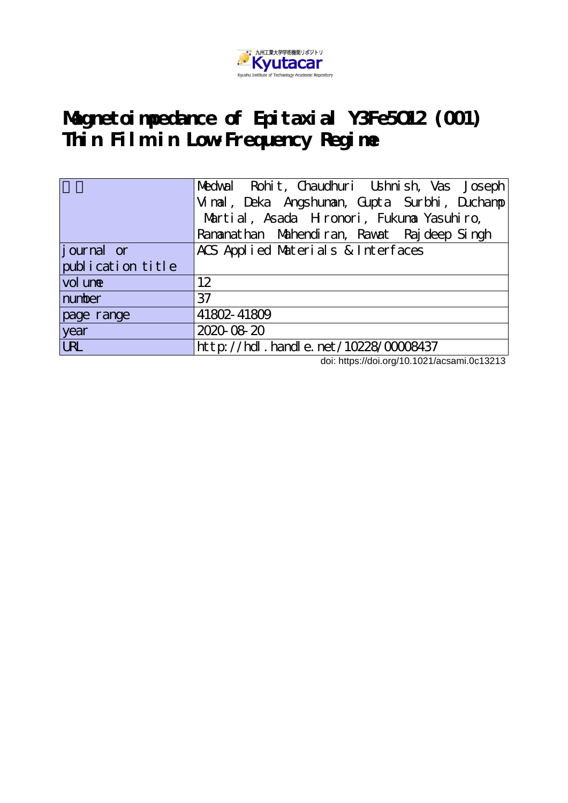

# **Magnetoimpedance of Epitaxial Y3Fe5O12 (001) Thin Film in Low-Frequency Regime**

|                   | Medwal Rohit, Chaudhuri Ushnish, Vas Joseph  |
|-------------------|----------------------------------------------|
|                   | Vinal, Deka Angshunan, Gupta Surbhi, Duchanp |
|                   | Martial, Asada Hronori, Fukuna Yasuhiro,     |
|                   | Rananathan Mahendiran, Rawat Raj deep Singh  |
| journal or        | ACS Applied Materials & Interfaces           |
| publication title |                                              |
| vol une           | 12                                           |
| number            | 37                                           |
| page range        | 41802-41809                                  |
| year              | 2020-08-20                                   |
| URL               | http://hdl.handle.net/10228/00008437         |

doi: https://doi.org/10.1021/acsami.0c13213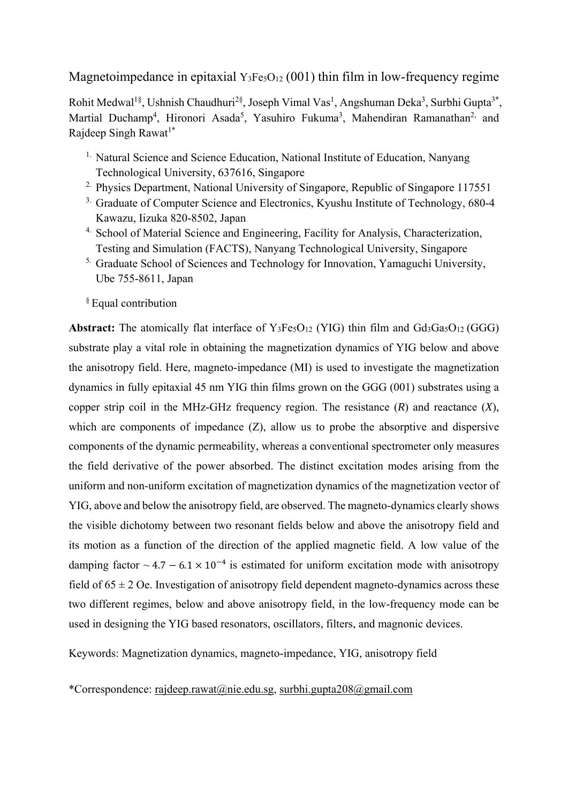Magnetoimpedance in epitaxial  $Y_3Fe<sub>5</sub>O<sub>12</sub>$  (001) thin film in low-frequency regime

Rohit Medwal<sup>1§</sup>, Ushnish Chaudhuri<sup>2§</sup>, Joseph Vimal Vas<sup>1</sup>, Angshuman Deka<sup>3</sup>, Surbhi Gupta<sup>3\*</sup>, Martial Duchamp<sup>4</sup>, Hironori Asada<sup>5</sup>, Yasuhiro Fukuma<sup>3</sup>, Mahendiran Ramanathan<sup>2,</sup> and Rajdeep Singh Rawat<sup>1\*</sup>

- <sup>1.</sup> Natural Science and Science Education, National Institute of Education, Nanyang Technological University, 637616, Singapore
- <sup>2.</sup> Physics Department, National University of Singapore, Republic of Singapore 117551
- <sup>3.</sup> Graduate of Computer Science and Electronics, Kyushu Institute of Technology, 680-4 Kawazu, Iizuka 820-8502, Japan
- <sup>4.</sup> School of Material Science and Engineering, Facility for Analysis, Characterization, Testing and Simulation (FACTS), Nanyang Technological University, Singapore
- <sup>5.</sup> Graduate School of Sciences and Technology for Innovation, Yamaguchi University, Ube 755-8611, Japan

§ Equal contribution

**Abstract:** The atomically flat interface of Y<sub>3</sub>Fe<sub>5</sub>O<sub>12</sub> (YIG) thin film and Gd<sub>3</sub>Ga<sub>5</sub>O<sub>12</sub> (GGG) substrate play a vital role in obtaining the magnetization dynamics of YIG below and above the anisotropy field. Here, magneto-impedance (MI) is used to investigate the magnetization dynamics in fully epitaxial 45 nm YIG thin films grown on the GGG (001) substrates using a copper strip coil in the MHz-GHz frequency region. The resistance (*R*) and reactance (*X*), which are components of impedance (Z), allow us to probe the absorptive and dispersive components of the dynamic permeability, whereas a conventional spectrometer only measures the field derivative of the power absorbed. The distinct excitation modes arising from the uniform and non-uniform excitation of magnetization dynamics of the magnetization vector of YIG, above and below the anisotropy field, are observed. The magneto-dynamics clearly shows the visible dichotomy between two resonant fields below and above the anisotropy field and its motion as a function of the direction of the applied magnetic field. A low value of the damping factor  $\sim 4.7 - 6.1 \times 10^{-4}$  is estimated for uniform excitation mode with anisotropy field of  $65 \pm 2$  Oe. Investigation of anisotropy field dependent magneto-dynamics across these two different regimes, below and above anisotropy field, in the low-frequency mode can be used in designing the YIG based resonators, oscillators, filters, and magnonic devices.

Keywords: Magnetization dynamics, magneto-impedance, YIG, anisotropy field

\*Correspondence: rajdeep.rawat@nie.edu.sg, surbhi.gupta208@gmail.com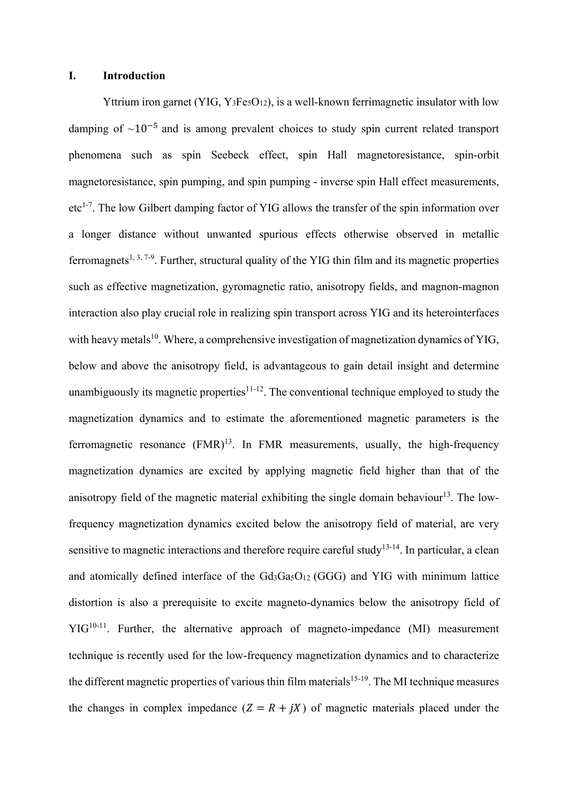#### **I. Introduction**

Yttrium iron garnet (YIG, Y<sub>3</sub>Fe<sub>5</sub>O<sub>12</sub>), is a well-known ferrimagnetic insulator with low damping of  $\sim 10^{-5}$  and is among prevalent choices to study spin current related transport phenomena such as spin Seebeck effect, spin Hall magnetoresistance, spin-orbit magnetoresistance, spin pumping, and spin pumping - inverse spin Hall effect measurements, etc<sup>1-7</sup>. The low Gilbert damping factor of YIG allows the transfer of the spin information over a longer distance without unwanted spurious effects otherwise observed in metallic ferromagnets<sup>1, 3, 7-9</sup>. Further, structural quality of the YIG thin film and its magnetic properties such as effective magnetization, gyromagnetic ratio, anisotropy fields, and magnon-magnon interaction also play crucial role in realizing spin transport across YIG and its heterointerfaces with heavy metals<sup>10</sup>. Where, a comprehensive investigation of magnetization dynamics of YIG, below and above the anisotropy field, is advantageous to gain detail insight and determine unambiguously its magnetic properties<sup>11-12</sup>. The conventional technique employed to study the magnetization dynamics and to estimate the aforementioned magnetic parameters is the ferromagnetic resonance  $(FMR)^{13}$ . In FMR measurements, usually, the high-frequency magnetization dynamics are excited by applying magnetic field higher than that of the anisotropy field of the magnetic material exhibiting the single domain behaviour<sup>13</sup>. The lowfrequency magnetization dynamics excited below the anisotropy field of material, are very sensitive to magnetic interactions and therefore require careful study<sup>13-14</sup>. In particular, a clean and atomically defined interface of the Gd<sub>3</sub>Ga<sub>5</sub>O<sub>12</sub> (GGG) and YIG with minimum lattice distortion is also a prerequisite to excite magneto-dynamics below the anisotropy field of  $YIG<sup>10-11</sup>$ . Further, the alternative approach of magneto-impedance (MI) measurement technique is recently used for the low-frequency magnetization dynamics and to characterize the different magnetic properties of various thin film materials<sup>15-19</sup>. The MI technique measures the changes in complex impedance  $(Z = R + jX)$  of magnetic materials placed under the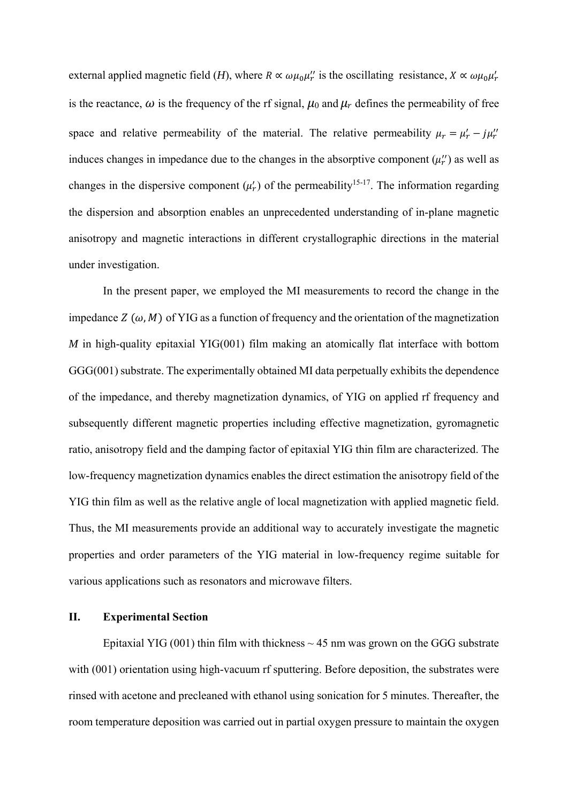external applied magnetic field (*H*), where  $R \propto \omega \mu_0 \mu'_r$  is the oscillating resistance,  $X \propto \omega \mu_0 \mu'_r$ is the reactance,  $\omega$  is the frequency of the rf signal,  $\mu_0$  and  $\mu_r$  defines the permeability of free space and relative permeability of the material. The relative permeability  $\mu_r = \mu'_r - j\mu''_r$ induces changes in impedance due to the changes in the absorptive component  $(\mu_r)$  as well as changes in the dispersive component  $(\mu'_r)$  of the permeability<sup>15-17</sup>. The information regarding the dispersion and absorption enables an unprecedented understanding of in-plane magnetic anisotropy and magnetic interactions in different crystallographic directions in the material under investigation.

In the present paper, we employed the MI measurements to record the change in the impedance  $Z(\omega, M)$  of YIG as a function of frequency and the orientation of the magnetization *M* in high-quality epitaxial YIG(001) film making an atomically flat interface with bottom GGG(001) substrate. The experimentally obtained MI data perpetually exhibits the dependence of the impedance, and thereby magnetization dynamics, of YIG on applied rf frequency and subsequently different magnetic properties including effective magnetization, gyromagnetic ratio, anisotropy field and the damping factor of epitaxial YIG thin film are characterized. The low-frequency magnetization dynamics enables the direct estimation the anisotropy field of the YIG thin film as well as the relative angle of local magnetization with applied magnetic field. Thus, the MI measurements provide an additional way to accurately investigate the magnetic properties and order parameters of the YIG material in low-frequency regime suitable for various applications such as resonators and microwave filters.

#### **II. Experimental Section**

Epitaxial YIG (001) thin film with thickness  $\sim$  45 nm was grown on the GGG substrate with (001) orientation using high-vacuum rf sputtering. Before deposition, the substrates were rinsed with acetone and precleaned with ethanol using sonication for 5 minutes. Thereafter, the room temperature deposition was carried out in partial oxygen pressure to maintain the oxygen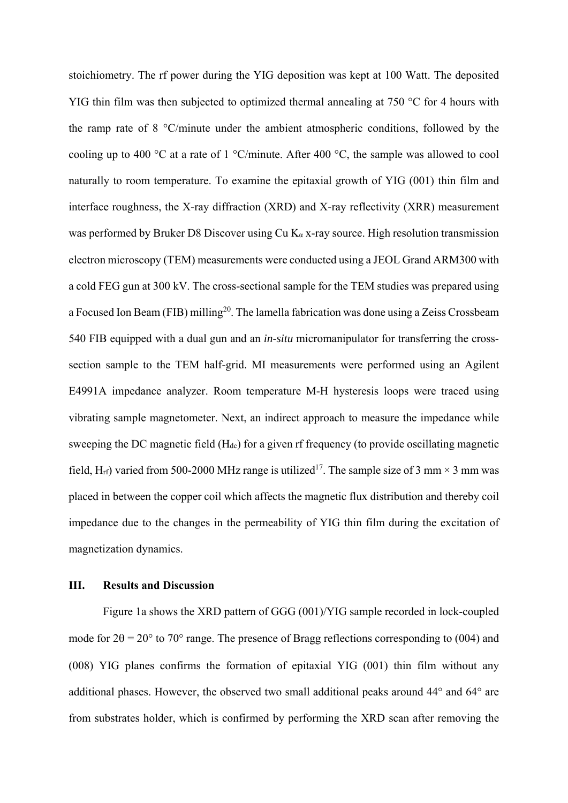stoichiometry. The rf power during the YIG deposition was kept at 100 Watt. The deposited YIG thin film was then subjected to optimized thermal annealing at 750 °C for 4 hours with the ramp rate of 8 °C/minute under the ambient atmospheric conditions, followed by the cooling up to 400 °C at a rate of 1 °C/minute. After 400 °C, the sample was allowed to cool naturally to room temperature. To examine the epitaxial growth of YIG (001) thin film and interface roughness, the X-ray diffraction (XRD) and X-ray reflectivity (XRR) measurement was performed by Bruker D8 Discover using Cu  $K_{\alpha}$  x-ray source. High resolution transmission electron microscopy (TEM) measurements were conducted using a JEOL Grand ARM300 with a cold FEG gun at 300 kV. The cross-sectional sample for the TEM studies was prepared using a Focused Ion Beam (FIB) milling<sup>20</sup>. The lamella fabrication was done using a Zeiss Crossbeam 540 FIB equipped with a dual gun and an *in-situ* micromanipulator for transferring the crosssection sample to the TEM half-grid. MI measurements were performed using an Agilent E4991A impedance analyzer. Room temperature M-H hysteresis loops were traced using vibrating sample magnetometer. Next, an indirect approach to measure the impedance while sweeping the DC magnetic field (H<sub>dc</sub>) for a given rf frequency (to provide oscillating magnetic field, H<sub>rf</sub>) varied from 500-2000 MHz range is utilized<sup>17</sup>. The sample size of 3 mm  $\times$  3 mm was placed in between the copper coil which affects the magnetic flux distribution and thereby coil impedance due to the changes in the permeability of YIG thin film during the excitation of magnetization dynamics.

### **III. Results and Discussion**

Figure 1a shows the XRD pattern of GGG (001)/YIG sample recorded in lock-coupled mode for  $2\theta = 20^{\circ}$  to 70° range. The presence of Bragg reflections corresponding to (004) and (008) YIG planes confirms the formation of epitaxial YIG (001) thin film without any additional phases. However, the observed two small additional peaks around 44° and 64° are from substrates holder, which is confirmed by performing the XRD scan after removing the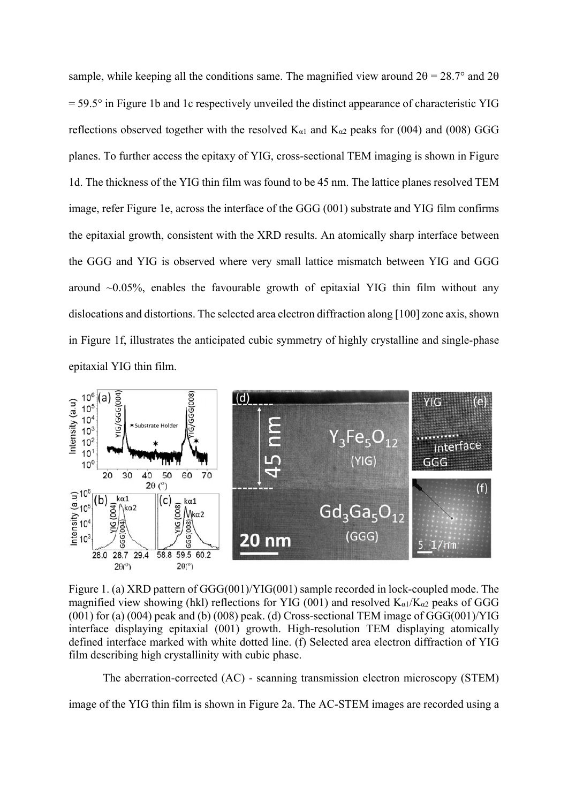sample, while keeping all the conditions same. The magnified view around  $2\theta = 28.7^{\circ}$  and  $2\theta$  $= 59.5^{\circ}$  in Figure 1b and 1c respectively unveiled the distinct appearance of characteristic YIG reflections observed together with the resolved  $K_{\alpha1}$  and  $K_{\alpha2}$  peaks for (004) and (008) GGG planes. To further access the epitaxy of YIG, cross-sectional TEM imaging is shown in Figure 1d. The thickness of the YIG thin film was found to be 45 nm. The lattice planes resolved TEM image, refer Figure 1e, across the interface of the GGG (001) substrate and YIG film confirms the epitaxial growth, consistent with the XRD results. An atomically sharp interface between the GGG and YIG is observed where very small lattice mismatch between YIG and GGG around  $\sim 0.05\%$ , enables the favourable growth of epitaxial YIG thin film without any dislocations and distortions. The selected area electron diffraction along [100] zone axis, shown in Figure 1f, illustrates the anticipated cubic symmetry of highly crystalline and single-phase epitaxial YIG thin film.



Figure 1. (a) XRD pattern of GGG(001)/YIG(001) sample recorded in lock-coupled mode. The magnified view showing (hkl) reflections for YIG (001) and resolved  $K_{\alpha 1}/K_{\alpha 2}$  peaks of GGG  $(001)$  for (a)  $(004)$  peak and (b)  $(008)$  peak. (d) Cross-sectional TEM image of GGG $(001)/YIG$ interface displaying epitaxial (001) growth. High-resolution TEM displaying atomically defined interface marked with white dotted line. (f) Selected area electron diffraction of YIG film describing high crystallinity with cubic phase.

The aberration-corrected (AC) - scanning transmission electron microscopy (STEM)

image of the YIG thin film is shown in Figure 2a. The AC-STEM images are recorded using a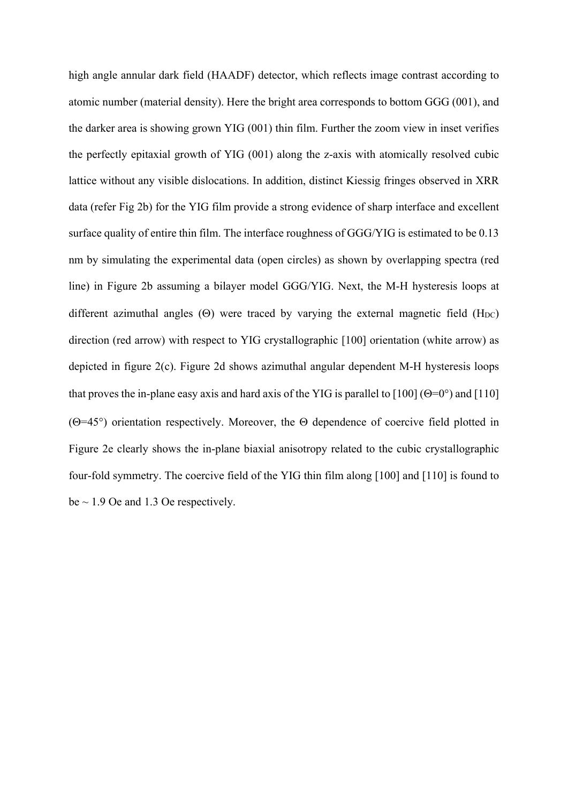high angle annular dark field (HAADF) detector, which reflects image contrast according to atomic number (material density). Here the bright area corresponds to bottom GGG (001), and the darker area is showing grown YIG (001) thin film. Further the zoom view in inset verifies the perfectly epitaxial growth of YIG (001) along the z-axis with atomically resolved cubic lattice without any visible dislocations. In addition, distinct Kiessig fringes observed in XRR data (refer Fig 2b) for the YIG film provide a strong evidence of sharp interface and excellent surface quality of entire thin film. The interface roughness of GGG/YIG is estimated to be 0.13 nm by simulating the experimental data (open circles) as shown by overlapping spectra (red line) in Figure 2b assuming a bilayer model GGG/YIG. Next, the M-H hysteresis loops at different azimuthal angles  $(\Theta)$  were traced by varying the external magnetic field (H<sub>DC</sub>) direction (red arrow) with respect to YIG crystallographic [100] orientation (white arrow) as depicted in figure 2(c). Figure 2d shows azimuthal angular dependent M-H hysteresis loops that proves the in-plane easy axis and hard axis of the YIG is parallel to  $[100]$  ( $\Theta$ =0°) and  $[110]$ ( $\Theta$ =45°) orientation respectively. Moreover, the  $\Theta$  dependence of coercive field plotted in Figure 2e clearly shows the in-plane biaxial anisotropy related to the cubic crystallographic four-fold symmetry. The coercive field of the YIG thin film along [100] and [110] is found to be  $\sim$  1.9 Oe and 1.3 Oe respectively.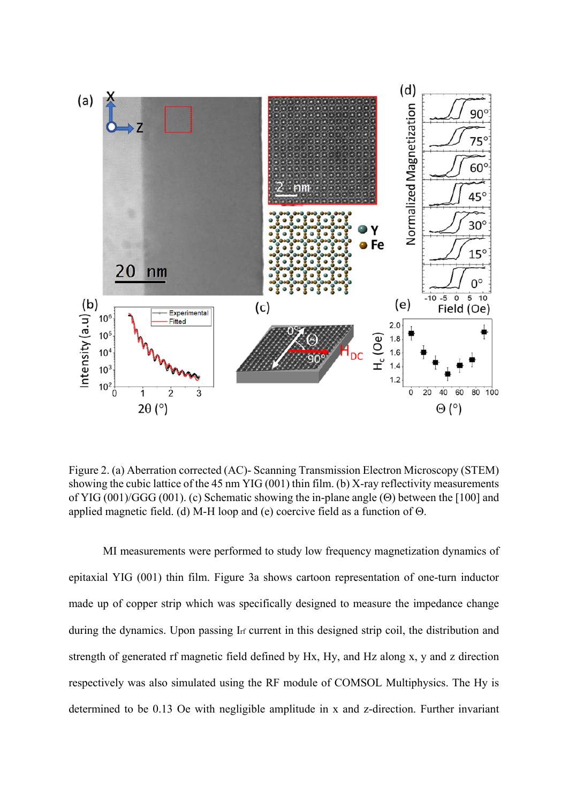

Figure 2. (a) Aberration corrected (AC)- Scanning Transmission Electron Microscopy (STEM) showing the cubic lattice of the 45 nm YIG (001) thin film. (b) X-ray reflectivity measurements of YIG (001)/GGG (001). (c) Schematic showing the in-plane angle ( $\Theta$ ) between the [100] and applied magnetic field. (d) M-H loop and (e) coercive field as a function of  $\Theta$ .

MI measurements were performed to study low frequency magnetization dynamics of epitaxial YIG (001) thin film. Figure 3a shows cartoon representation of one-turn inductor made up of copper strip which was specifically designed to measure the impedance change during the dynamics. Upon passing I<sub>rf</sub> current in this designed strip coil, the distribution and strength of generated rf magnetic field defined by Hx, Hy, and Hz along x, y and z direction respectively was also simulated using the RF module of COMSOL Multiphysics. The Hy is determined to be 0.13 Oe with negligible amplitude in x and z-direction. Further invariant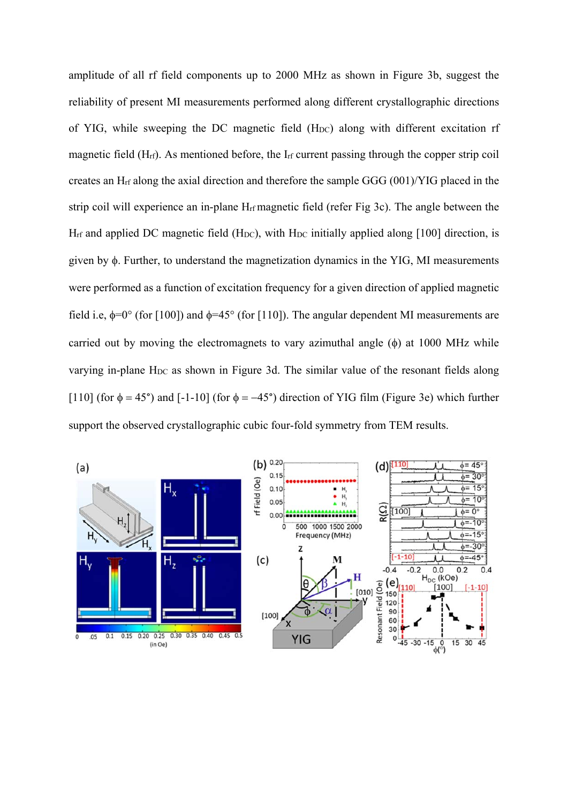amplitude of all rf field components up to 2000 MHz as shown in Figure 3b, suggest the reliability of present MI measurements performed along different crystallographic directions of YIG, while sweeping the DC magnetic field (HDC) along with different excitation rf magnetic field (Hrf). As mentioned before, the Irf current passing through the copper strip coil creates an Hrf along the axial direction and therefore the sample GGG (001)/YIG placed in the strip coil will experience an in-plane Hrf magnetic field (refer Fig 3c). The angle between the  $H_{rf}$  and applied DC magnetic field (H<sub>DC</sub>), with  $H_{DC}$  initially applied along [100] direction, is given by  $\phi$ . Further, to understand the magnetization dynamics in the YIG, MI measurements were performed as a function of excitation frequency for a given direction of applied magnetic field i.e,  $\phi=0^{\circ}$  (for [100]) and  $\phi=45^{\circ}$  (for [110]). The angular dependent MI measurements are carried out by moving the electromagnets to vary azimuthal angle  $(\phi)$  at 1000 MHz while varying in-plane HDC as shown in Figure 3d. The similar value of the resonant fields along [110] (for  $\phi = 45^{\circ}$ ) and [-1-10] (for  $\phi = -45^{\circ}$ ) direction of YIG film (Figure 3e) which further support the observed crystallographic cubic four-fold symmetry from TEM results.

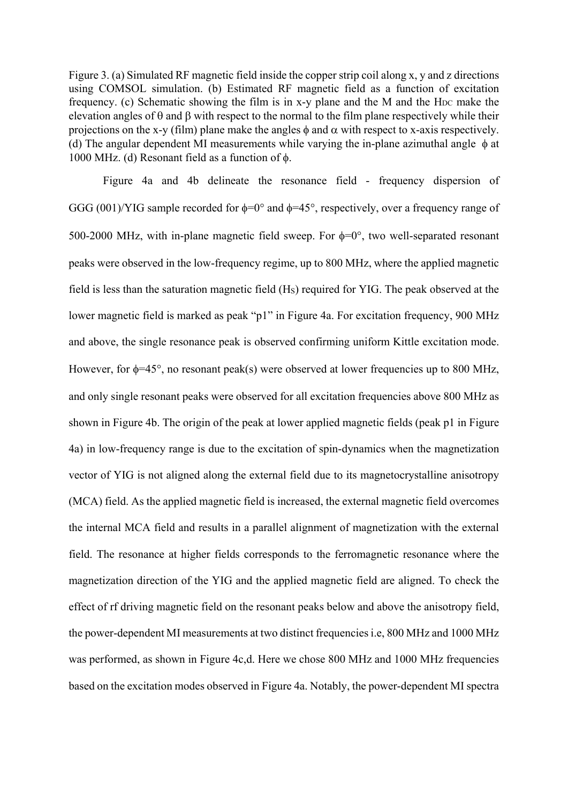Figure 3. (a) Simulated RF magnetic field inside the copper strip coil along x, y and z directions using COMSOL simulation. (b) Estimated RF magnetic field as a function of excitation frequency. (c) Schematic showing the film is in x-y plane and the M and the H<sub>DC</sub> make the elevation angles of  $\theta$  and  $\beta$  with respect to the normal to the film plane respectively while their projections on the x-y (film) plane make the angles  $\phi$  and  $\alpha$  with respect to x-axis respectively. (d) The angular dependent MI measurements while varying the in-plane azimuthal angle  $\phi$  at 1000 MHz. (d) Resonant field as a function of  $\phi$ .

Figure 4a and 4b delineate the resonance field - frequency dispersion of GGG (001)/YIG sample recorded for  $\phi=0^{\circ}$  and  $\phi=45^{\circ}$ , respectively, over a frequency range of 500-2000 MHz, with in-plane magnetic field sweep. For  $\phi=0^\circ$ , two well-separated resonant peaks were observed in the low-frequency regime, up to 800 MHz, where the applied magnetic field is less than the saturation magnetic field (HS) required for YIG. The peak observed at the lower magnetic field is marked as peak "p1" in Figure 4a. For excitation frequency, 900 MHz and above, the single resonance peak is observed confirming uniform Kittle excitation mode. However, for  $\phi$ =45°, no resonant peak(s) were observed at lower frequencies up to 800 MHz, and only single resonant peaks were observed for all excitation frequencies above 800 MHz as shown in Figure 4b. The origin of the peak at lower applied magnetic fields (peak p1 in Figure 4a) in low-frequency range is due to the excitation of spin-dynamics when the magnetization vector of YIG is not aligned along the external field due to its magnetocrystalline anisotropy (MCA) field. As the applied magnetic field is increased, the external magnetic field overcomes the internal MCA field and results in a parallel alignment of magnetization with the external field. The resonance at higher fields corresponds to the ferromagnetic resonance where the magnetization direction of the YIG and the applied magnetic field are aligned. To check the effect of rf driving magnetic field on the resonant peaks below and above the anisotropy field, the power-dependent MI measurements at two distinct frequencies i.e, 800 MHz and 1000 MHz was performed, as shown in Figure 4c,d. Here we chose 800 MHz and 1000 MHz frequencies based on the excitation modes observed in Figure 4a. Notably, the power-dependent MI spectra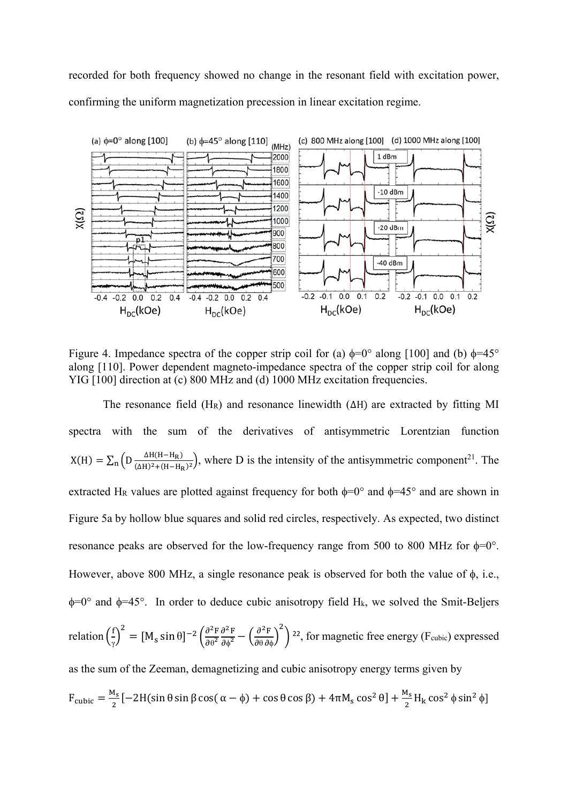recorded for both frequency showed no change in the resonant field with excitation power, confirming the uniform magnetization precession in linear excitation regime.



Figure 4. Impedance spectra of the copper strip coil for (a)  $\phi=0^\circ$  along [100] and (b)  $\phi=45^\circ$ along [110]. Power dependent magneto-impedance spectra of the copper strip coil for along YIG [100] direction at (c) 800 MHz and (d) 1000 MHz excitation frequencies.

The resonance field (H<sub>R</sub>) and resonance linewidth ( $\Delta H$ ) are extracted by fitting MI spectra with the sum of the derivatives of antisymmetric Lorentzian function  $X(H) = \sum_{n} \left( D \frac{\Delta H(H - H_R)}{(\Delta H)^2 + (H - H_R)^2} \right)$ , where D is the intensity of the antisymmetric component<sup>21</sup>. The extracted H<sub>R</sub> values are plotted against frequency for both  $\phi=0^\circ$  and  $\phi=45^\circ$  and are shown in Figure 5a by hollow blue squares and solid red circles, respectively. As expected, two distinct resonance peaks are observed for the low-frequency range from 500 to 800 MHz for  $\phi=0^\circ$ . However, above 800 MHz, a single resonance peak is observed for both the value of  $\phi$ , i.e.,  $\phi$ =0° and  $\phi$ =45°. In order to deduce cubic anisotropy field H<sub>k</sub>, we solved the Smit-Beljers relation  $\left(\frac{f}{f}\right)$  $\left(\frac{f}{\gamma}\right)^2 = [M_s \sin \theta]^{-2} \left(\frac{\partial^2 F}{\partial \theta^2}\right)$  $\overline{\partial\theta^2}$  $\frac{\partial^2 F}{\partial \phi^2} - \left(\frac{\partial^2 F}{\partial \theta \partial \phi}\right)$  $\overline{\mathbf{c}}$  $2<sup>22</sup>$ , for magnetic free energy (F<sub>cubic</sub>) expressed as the sum of the Zeeman, demagnetizing and cubic anisotropy energy terms given by  $F_{\text{cubic}} = \frac{M_s}{2} \left[ -2H(\sin\theta\sin\beta\cos(\alpha - \phi) + \cos\theta\cos\beta) + 4\pi M_s \cos^2\theta \right] + \frac{M_s}{2} H_k \cos^2\phi \sin^2\phi$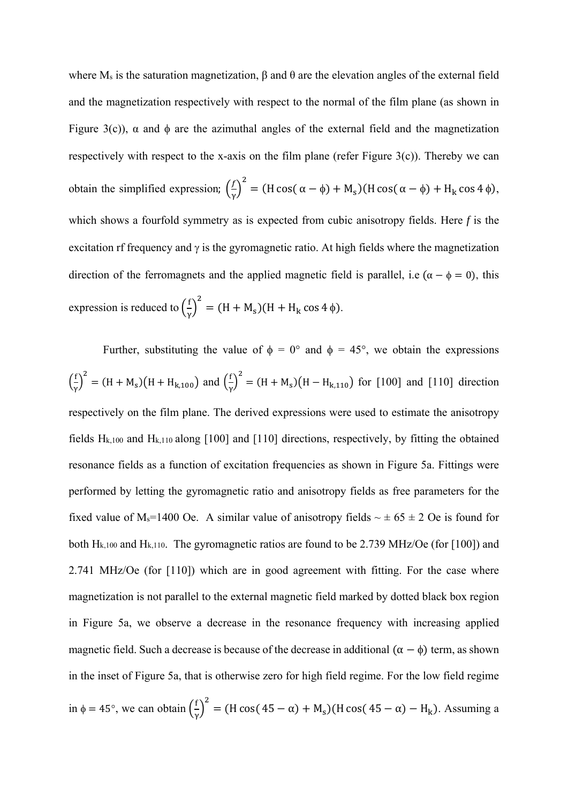where  $M_s$  is the saturation magnetization,  $\beta$  and  $\theta$  are the elevation angles of the external field and the magnetization respectively with respect to the normal of the film plane (as shown in Figure 3(c)),  $\alpha$  and  $\phi$  are the azimuthal angles of the external field and the magnetization respectively with respect to the x-axis on the film plane (refer Figure  $3(c)$ ). Thereby we can obtain the simplified expression;  $\left(\frac{f}{\gamma}\right)^2 = (H \cos(\alpha - \phi) + M_s)(H \cos(\alpha - \phi) + H_k \cos 4\phi)$ , which shows a fourfold symmetry as is expected from cubic anisotropy fields. Here *f* is the excitation rf frequency and  $\gamma$  is the gyromagnetic ratio. At high fields where the magnetization direction of the ferromagnets and the applied magnetic field is parallel, i.e ( $\alpha - \phi = 0$ ), this expression is reduced to  $\left(\frac{f}{\gamma}\right)^2 = (H + M_s)(H + H_k \cos 4\phi)$ .

Further, substituting the value of  $\phi = 0^{\circ}$  and  $\phi = 45^{\circ}$ , we obtain the expressions  $\binom{f}{f}$  $\left(\frac{f}{\gamma}\right)^2 = (H + M_s)(H + H_{k,100})$  and  $\left(\frac{f}{\gamma}\right)^2$  $\left(\frac{f}{\gamma}\right)^2 = (H + M_s)(H - H_{k,110})$  for [100] and [110] direction respectively on the film plane. The derived expressions were used to estimate the anisotropy fields  $H_{k,100}$  and  $H_{k,110}$  along [100] and [110] directions, respectively, by fitting the obtained resonance fields as a function of excitation frequencies as shown in Figure 5a. Fittings were performed by letting the gyromagnetic ratio and anisotropy fields as free parameters for the fixed value of M<sub>s</sub>=1400 Oe. A similar value of anisotropy fields  $\sim \pm 65 \pm 2$  Oe is found for both  $H_{k,100}$  and  $H_{k,110}$ . The gyromagnetic ratios are found to be 2.739 MHz/Oe (for [100]) and 2.741 MHz/Oe (for [110]) which are in good agreement with fitting. For the case where magnetization is not parallel to the external magnetic field marked by dotted black box region in Figure 5a, we observe a decrease in the resonance frequency with increasing applied magnetic field. Such a decrease is because of the decrease in additional  $(\alpha - \phi)$  term, as shown in the inset of Figure 5a, that is otherwise zero for high field regime. For the low field regime in  $\phi = 45^{\circ}$ , we can obtain  $\left(\frac{6}{5}\right)$  $\left(\frac{f}{\gamma}\right)^2$  = (H cos( 45 – α) + M<sub>s</sub>)(H cos( 45 – α) – H<sub>k</sub>). Assuming a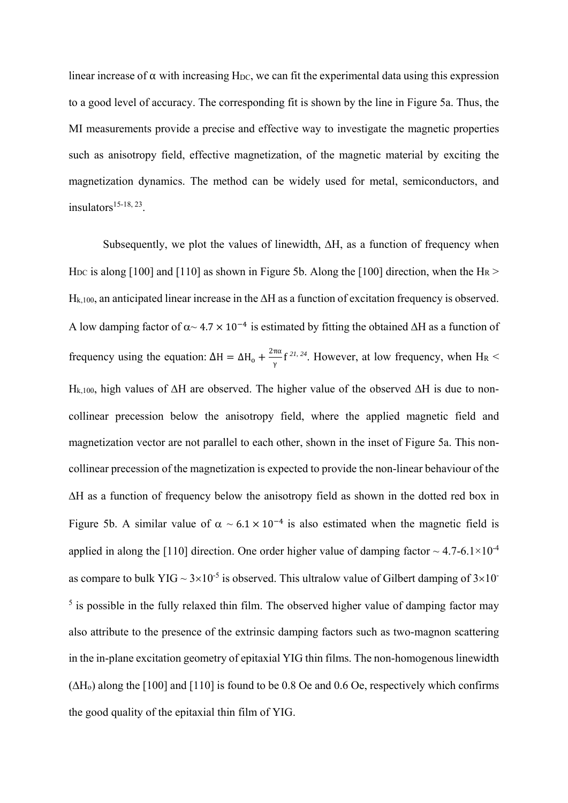linear increase of  $\alpha$  with increasing H<sub>DC</sub>, we can fit the experimental data using this expression to a good level of accuracy. The corresponding fit is shown by the line in Figure 5a. Thus, the MI measurements provide a precise and effective way to investigate the magnetic properties such as anisotropy field, effective magnetization, of the magnetic material by exciting the magnetization dynamics. The method can be widely used for metal, semiconductors, and insulators $15-18$ , 23.

Subsequently, we plot the values of linewidth,  $\Delta H$ , as a function of frequency when H<sub>DC</sub> is along [100] and [110] as shown in Figure 5b. Along the [100] direction, when the H<sub>R</sub> >  $H_{k,100}$ , an anticipated linear increase in the  $\Delta H$  as a function of excitation frequency is observed. A low damping factor of  $\alpha$  ~ 4.7  $\times$  10<sup>-4</sup> is estimated by fitting the obtained  $\Delta H$  as a function of frequency using the equation:  $\Delta H = \Delta H_0 + \frac{2\pi\alpha}{v}$  $\frac{\pi a}{\gamma}$  f<sup>21, 24</sup>. However, at low frequency, when H<sub>R</sub> <  $H_{k,100}$ , high values of  $\Delta H$  are observed. The higher value of the observed  $\Delta H$  is due to noncollinear precession below the anisotropy field, where the applied magnetic field and magnetization vector are not parallel to each other, shown in the inset of Figure 5a. This noncollinear precession of the magnetization is expected to provide the non-linear behaviour of the  $\Delta H$  as a function of frequency below the anisotropy field as shown in the dotted red box in Figure 5b. A similar value of  $\alpha \sim 6.1 \times 10^{-4}$  is also estimated when the magnetic field is applied in along the [110] direction. One order higher value of damping factor  $\sim 4.7$ -6.1 $\times$ 10<sup>-4</sup> as compare to bulk YIG ~  $3\times10^{-5}$  is observed. This ultralow value of Gilbert damping of  $3\times10^{-7}$  $<sup>5</sup>$  is possible in the fully relaxed thin film. The observed higher value of damping factor may</sup> also attribute to the presence of the extrinsic damping factors such as two-magnon scattering in the in-plane excitation geometry of epitaxial YIG thin films. The non-homogenous linewidth  $(\Delta H_o)$  along the [100] and [110] is found to be 0.8 Oe and 0.6 Oe, respectively which confirms the good quality of the epitaxial thin film of YIG.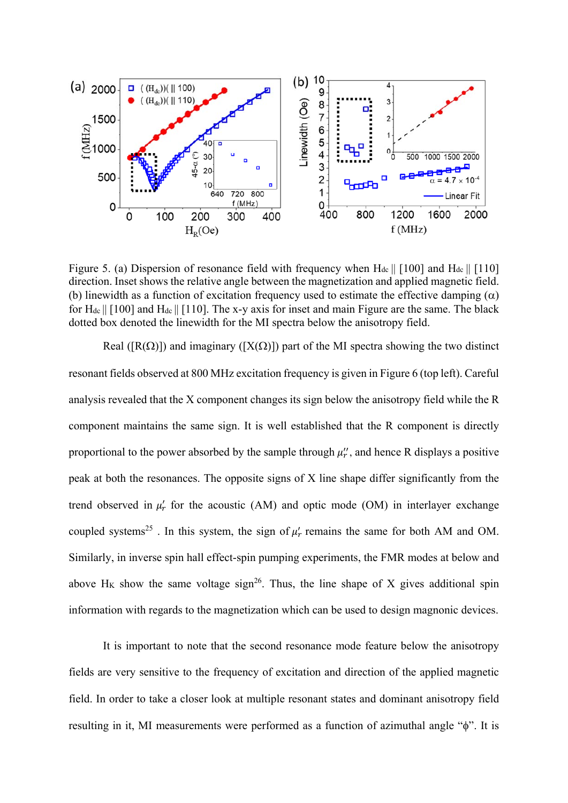

Figure 5. (a) Dispersion of resonance field with frequency when  $H_{dc} \parallel [100]$  and  $H_{dc} \parallel [110]$ direction. Inset shows the relative angle between the magnetization and applied magnetic field. (b) linewidth as a function of excitation frequency used to estimate the effective damping  $(\alpha)$ for  $H_{dc} || [100]$  and  $H_{dc} || [110]$ . The x-y axis for inset and main Figure are the same. The black dotted box denoted the linewidth for the MI spectra below the anisotropy field.

Real ( $[R(\Omega)]$ ) and imaginary ( $[X(\Omega)]$ ) part of the MI spectra showing the two distinct resonant fields observed at 800 MHz excitation frequency is given in Figure 6 (top left). Careful analysis revealed that the X component changes its sign below the anisotropy field while the R component maintains the same sign. It is well established that the R component is directly proportional to the power absorbed by the sample through  $\mu_r$ , and hence R displays a positive peak at both the resonances. The opposite signs of X line shape differ significantly from the trend observed in  $\mu'_r$  for the acoustic (AM) and optic mode (OM) in interlayer exchange coupled systems<sup>25</sup>. In this system, the sign of  $\mu'_r$  remains the same for both AM and OM. Similarly, in inverse spin hall effect-spin pumping experiments, the FMR modes at below and above  $H_K$  show the same voltage sign<sup>26</sup>. Thus, the line shape of X gives additional spin information with regards to the magnetization which can be used to design magnonic devices.

It is important to note that the second resonance mode feature below the anisotropy fields are very sensitive to the frequency of excitation and direction of the applied magnetic field. In order to take a closer look at multiple resonant states and dominant anisotropy field resulting in it. MI measurements were performed as a function of azimuthal angle " $\phi$ ". It is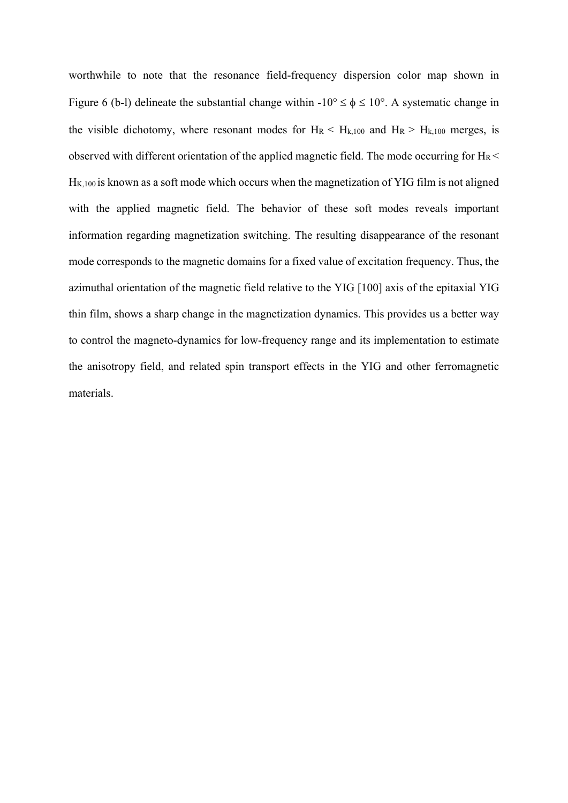worthwhile to note that the resonance field-frequency dispersion color map shown in Figure 6 (b-l) delineate the substantial change within  $-10^{\circ} \le \phi \le 10^{\circ}$ . A systematic change in the visible dichotomy, where resonant modes for  $H_R < H_{k,100}$  and  $H_R > H_{k,100}$  merges, is observed with different orientation of the applied magnetic field. The mode occurring for  $H_R <$ H<sub>K,100</sub> is known as a soft mode which occurs when the magnetization of YIG film is not aligned with the applied magnetic field. The behavior of these soft modes reveals important information regarding magnetization switching. The resulting disappearance of the resonant mode corresponds to the magnetic domains for a fixed value of excitation frequency. Thus, the azimuthal orientation of the magnetic field relative to the YIG [100] axis of the epitaxial YIG thin film, shows a sharp change in the magnetization dynamics. This provides us a better way to control the magneto-dynamics for low-frequency range and its implementation to estimate the anisotropy field, and related spin transport effects in the YIG and other ferromagnetic materials.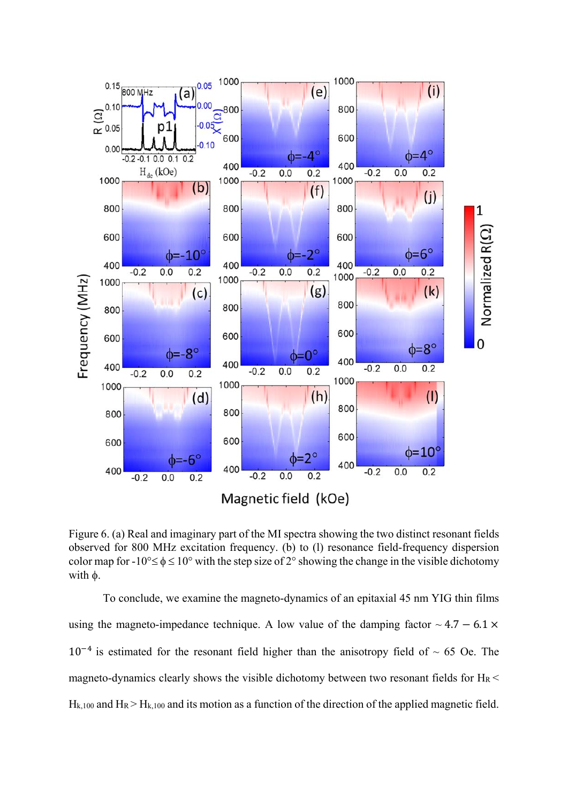

Figure 6. (a) Real and imaginary part of the MI spectra showing the two distinct resonant fields observed for 800 MHz excitation frequency. (b) to (l) resonance field-frequency dispersion color map for  $-10^{\circ} \le \phi \le 10^{\circ}$  with the step size of 2° showing the change in the visible dichotomy with  $\phi$ .

To conclude, we examine the magneto-dynamics of an epitaxial 45 nm YIG thin films using the magneto-impedance technique. A low value of the damping factor  $\sim 4.7 - 6.1 \times$  $10^{-4}$  is estimated for the resonant field higher than the anisotropy field of  $\sim 65$  Oe. The magneto-dynamics clearly shows the visible dichotomy between two resonant fields for  $H_R$  <  $H_{k,100}$  and  $H_R > H_{k,100}$  and its motion as a function of the direction of the applied magnetic field.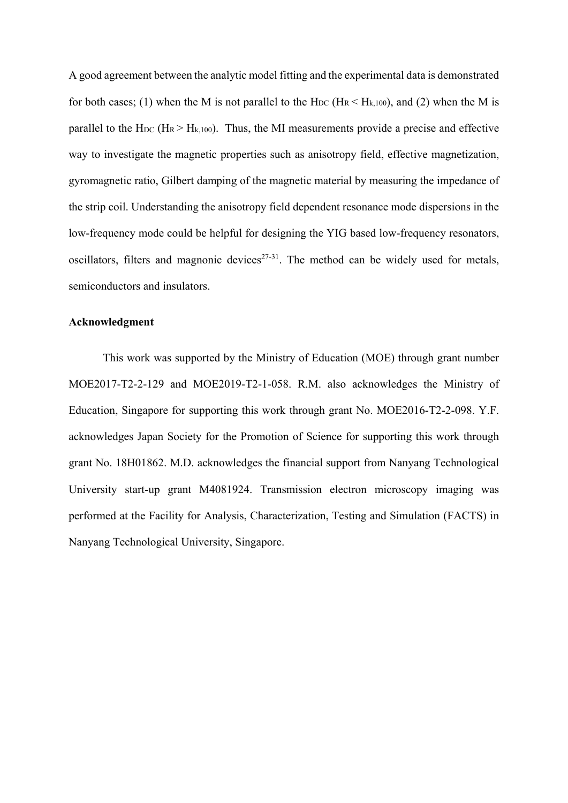A good agreement between the analytic model fitting and the experimental data is demonstrated for both cases; (1) when the M is not parallel to the  $H_{DC}$  ( $H_R < H_{k,100}$ ), and (2) when the M is parallel to the H<sub>DC</sub> (H<sub>R</sub> > H<sub>k,100</sub>). Thus, the MI measurements provide a precise and effective way to investigate the magnetic properties such as anisotropy field, effective magnetization, gyromagnetic ratio, Gilbert damping of the magnetic material by measuring the impedance of the strip coil. Understanding the anisotropy field dependent resonance mode dispersions in the low-frequency mode could be helpful for designing the YIG based low-frequency resonators, oscillators, filters and magnonic devices<sup>27-31</sup>. The method can be widely used for metals, semiconductors and insulators.

#### **Acknowledgment**

This work was supported by the Ministry of Education (MOE) through grant number MOE2017-T2-2-129 and MOE2019-T2-1-058. R.M. also acknowledges the Ministry of Education, Singapore for supporting this work through grant No. MOE2016-T2-2-098. Y.F. acknowledges Japan Society for the Promotion of Science for supporting this work through grant No. 18H01862. M.D. acknowledges the financial support from Nanyang Technological University start-up grant M4081924. Transmission electron microscopy imaging was performed at the Facility for Analysis, Characterization, Testing and Simulation (FACTS) in Nanyang Technological University, Singapore.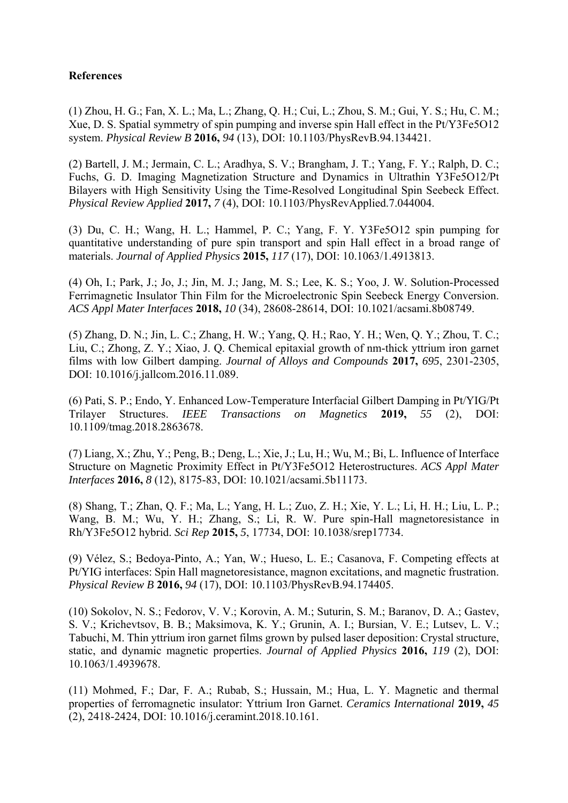## **References**

(1) Zhou, H. G.; Fan, X. L.; Ma, L.; Zhang, Q. H.; Cui, L.; Zhou, S. M.; Gui, Y. S.; Hu, C. M.; Xue, D. S. Spatial symmetry of spin pumping and inverse spin Hall effect in the Pt/Y3Fe5O12 system. *Physical Review B* **2016,** *94* (13), DOI: 10.1103/PhysRevB.94.134421.

(2) Bartell, J. M.; Jermain, C. L.; Aradhya, S. V.; Brangham, J. T.; Yang, F. Y.; Ralph, D. C.; Fuchs, G. D. Imaging Magnetization Structure and Dynamics in Ultrathin Y3Fe5O12/Pt Bilayers with High Sensitivity Using the Time-Resolved Longitudinal Spin Seebeck Effect. *Physical Review Applied* **2017,** *7* (4), DOI: 10.1103/PhysRevApplied.7.044004.

(3) Du, C. H.; Wang, H. L.; Hammel, P. C.; Yang, F. Y. Y3Fe5O12 spin pumping for quantitative understanding of pure spin transport and spin Hall effect in a broad range of materials. *Journal of Applied Physics* **2015,** *117* (17), DOI: 10.1063/1.4913813.

(4) Oh, I.; Park, J.; Jo, J.; Jin, M. J.; Jang, M. S.; Lee, K. S.; Yoo, J. W. Solution-Processed Ferrimagnetic Insulator Thin Film for the Microelectronic Spin Seebeck Energy Conversion. *ACS Appl Mater Interfaces* **2018,** *10* (34), 28608-28614, DOI: 10.1021/acsami.8b08749.

(5) Zhang, D. N.; Jin, L. C.; Zhang, H. W.; Yang, Q. H.; Rao, Y. H.; Wen, Q. Y.; Zhou, T. C.; Liu, C.; Zhong, Z. Y.; Xiao, J. Q. Chemical epitaxial growth of nm-thick yttrium iron garnet films with low Gilbert damping. *Journal of Alloys and Compounds* **2017,** *695*, 2301-2305, DOI: 10.1016/j.jallcom.2016.11.089.

(6) Pati, S. P.; Endo, Y. Enhanced Low-Temperature Interfacial Gilbert Damping in Pt/YIG/Pt Trilayer Structures. *IEEE Transactions on Magnetics* **2019,** *55* (2), DOI: 10.1109/tmag.2018.2863678.

(7) Liang, X.; Zhu, Y.; Peng, B.; Deng, L.; Xie, J.; Lu, H.; Wu, M.; Bi, L. Influence of Interface Structure on Magnetic Proximity Effect in Pt/Y3Fe5O12 Heterostructures. *ACS Appl Mater Interfaces* **2016,** *8* (12), 8175-83, DOI: 10.1021/acsami.5b11173.

(8) Shang, T.; Zhan, Q. F.; Ma, L.; Yang, H. L.; Zuo, Z. H.; Xie, Y. L.; Li, H. H.; Liu, L. P.; Wang, B. M.; Wu, Y. H.; Zhang, S.; Li, R. W. Pure spin-Hall magnetoresistance in Rh/Y3Fe5O12 hybrid. *Sci Rep* **2015,** *5*, 17734, DOI: 10.1038/srep17734.

(9) Vélez, S.; Bedoya-Pinto, A.; Yan, W.; Hueso, L. E.; Casanova, F. Competing effects at Pt/YIG interfaces: Spin Hall magnetoresistance, magnon excitations, and magnetic frustration. *Physical Review B* **2016,** *94* (17), DOI: 10.1103/PhysRevB.94.174405.

(10) Sokolov, N. S.; Fedorov, V. V.; Korovin, A. M.; Suturin, S. M.; Baranov, D. A.; Gastev, S. V.; Krichevtsov, B. B.; Maksimova, K. Y.; Grunin, A. I.; Bursian, V. E.; Lutsev, L. V.; Tabuchi, M. Thin yttrium iron garnet films grown by pulsed laser deposition: Crystal structure, static, and dynamic magnetic properties. *Journal of Applied Physics* **2016,** *119* (2), DOI: 10.1063/1.4939678.

(11) Mohmed, F.; Dar, F. A.; Rubab, S.; Hussain, M.; Hua, L. Y. Magnetic and thermal properties of ferromagnetic insulator: Yttrium Iron Garnet. *Ceramics International* **2019,** *45* (2), 2418-2424, DOI: 10.1016/j.ceramint.2018.10.161.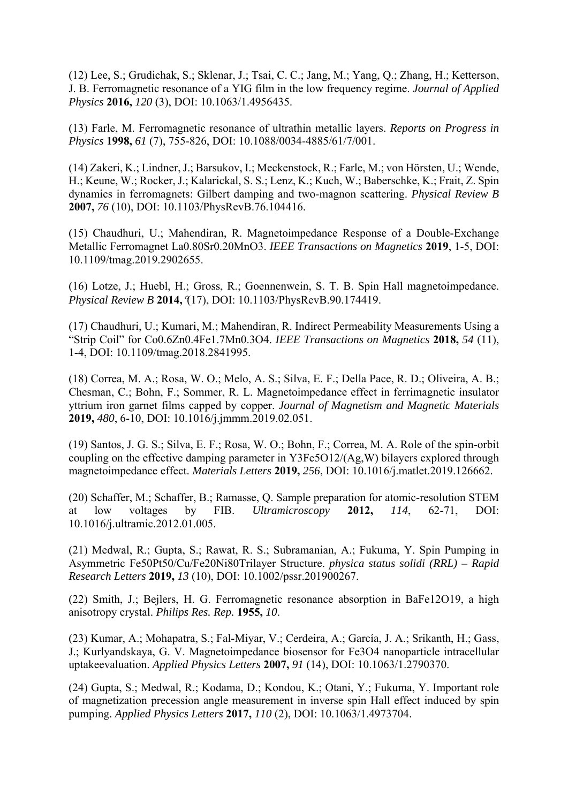(12) Lee, S.; Grudichak, S.; Sklenar, J.; Tsai, C. C.; Jang, M.; Yang, Q.; Zhang, H.; Ketterson, J. B. Ferromagnetic resonance of a YIG film in the low frequency regime. *Journal of Applied Physics* **2016,** *120* (3), DOI: 10.1063/1.4956435.

(13) Farle, M. Ferromagnetic resonance of ultrathin metallic layers. *Reports on Progress in Physics* **1998,** *61* (7), 755-826, DOI: 10.1088/0034-4885/61/7/001.

(14) Zakeri, K.; Lindner, J.; Barsukov, I.; Meckenstock, R.; Farle, M.; von Hörsten, U.; Wende, H.; Keune, W.; Rocker, J.; Kalarickal, S. S.; Lenz, K.; Kuch, W.; Baberschke, K.; Frait, Z. Spin dynamics in ferromagnets: Gilbert damping and two-magnon scattering. *Physical Review B*  **2007,** *76* (10), DOI: 10.1103/PhysRevB.76.104416.

(15) Chaudhuri, U.; Mahendiran, R. Magnetoimpedance Response of a Double-Exchange Metallic Ferromagnet La0.80Sr0.20MnO3. *IEEE Transactions on Magnetics* **2019**, 1-5, DOI: 10.1109/tmag.2019.2902655.

(16) Lotze, J.; Huebl, H.; Gross, R.; Goennenwein, S. T. B. Spin Hall magnetoimpedance. *Physical Review B* **2014,**(17), DOI: 10.1103/PhysRevB.90.174419.

(17) Chaudhuri, U.; Kumari, M.; Mahendiran, R. Indirect Permeability Measurements Using a "Strip Coil" for Co0.6Zn0.4Fe1.7Mn0.3O4. *IEEE Transactions on Magnetics* **2018,** *54* (11), 1-4, DOI: 10.1109/tmag.2018.2841995.

(18) Correa, M. A.; Rosa, W. O.; Melo, A. S.; Silva, E. F.; Della Pace, R. D.; Oliveira, A. B.; Chesman, C.; Bohn, F.; Sommer, R. L. Magnetoimpedance effect in ferrimagnetic insulator yttrium iron garnet films capped by copper. *Journal of Magnetism and Magnetic Materials*  **2019,** *480*, 6-10, DOI: 10.1016/j.jmmm.2019.02.051.

(19) Santos, J. G. S.; Silva, E. F.; Rosa, W. O.; Bohn, F.; Correa, M. A. Role of the spin-orbit coupling on the effective damping parameter in Y3Fe5O12/(Ag,W) bilayers explored through magnetoimpedance effect. *Materials Letters* **2019,** *256*, DOI: 10.1016/j.matlet.2019.126662.

(20) Schaffer, M.; Schaffer, B.; Ramasse, Q. Sample preparation for atomic-resolution STEM at low voltages by FIB. *Ultramicroscopy* **2012,** *114*, 62-71, DOI: 10.1016/j.ultramic.2012.01.005.

(21) Medwal, R.; Gupta, S.; Rawat, R. S.; Subramanian, A.; Fukuma, Y. Spin Pumping in Asymmetric Fe50Pt50/Cu/Fe20Ni80Trilayer Structure. *physica status solidi (RRL) – Rapid Research Letters* **2019,** *13* (10), DOI: 10.1002/pssr.201900267.

(22) Smith, J.; Bejlers, H. G. Ferromagnetic resonance absorption in BaFe12O19, a high anisotropy crystal. *Philips Res. Rep.* **1955,** *10*.

(23) Kumar, A.; Mohapatra, S.; Fal-Miyar, V.; Cerdeira, A.; García, J. A.; Srikanth, H.; Gass, J.; Kurlyandskaya, G. V. Magnetoimpedance biosensor for Fe3O4 nanoparticle intracellular uptakeevaluation. *Applied Physics Letters* **2007,** *91* (14), DOI: 10.1063/1.2790370.

(24) Gupta, S.; Medwal, R.; Kodama, D.; Kondou, K.; Otani, Y.; Fukuma, Y. Important role of magnetization precession angle measurement in inverse spin Hall effect induced by spin pumping. *Applied Physics Letters* **2017,** *110* (2), DOI: 10.1063/1.4973704.